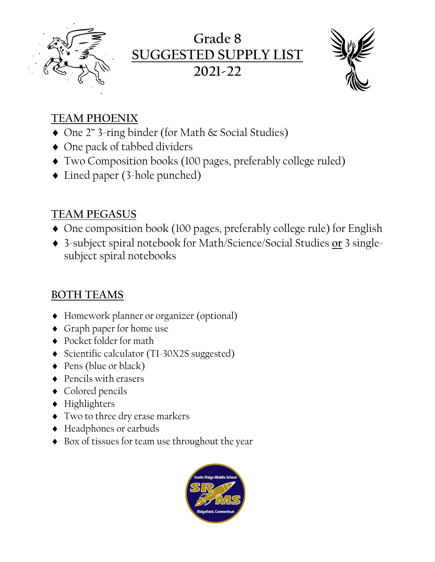

# **Grade 8 SUGGESTED SUPPLY LIST 2021-22**



# **TEAM PHOENIX**

- ◆ One 2" 3-ring binder (for Math & Social Studies)
- One pack of tabbed dividers
- Two Composition books (100 pages, preferably college ruled)
- ◆ Lined paper (3-hole punched)

# **TEAM PEGASUS**

- One composition book (100 pages, preferably college rule) for English
- 3-subject spiral notebook for Math/Science/Social Studies **or** 3 singlesubject spiral notebooks

# **BOTH TEAMS**

- Homework planner or organizer (optional)
- Graph paper for home use
- ◆ Pocket folder for math
- ◆ Scientific calculator (TI-30X2S suggested)
- ◆ Pens (blue or black)
- Pencils with erasers
- ◆ Colored pencils
- Highlighters
- Two to three dry erase markers
- Headphones or earbuds
- Box of tissues for team use throughout the year